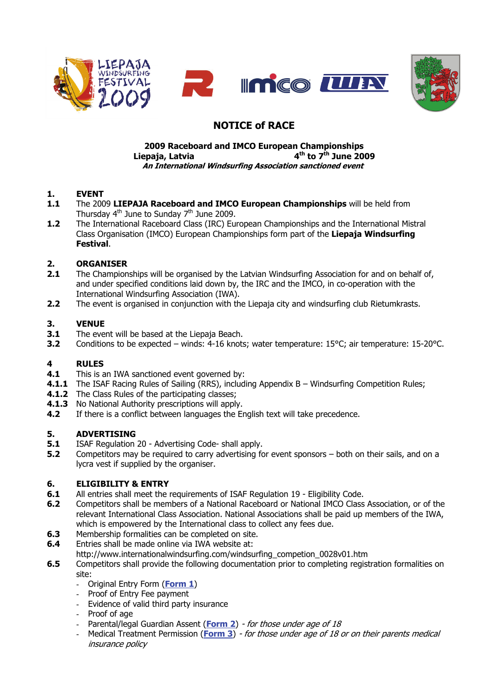



# **NOTICE of RACE**

#### **2009 Raceboard and IMCO European Championships Liepaja, Latvia 4th to 7th June 2009 An International Windsurfing Association sanctioned event**

- **1. EVENT**<br>**1.1** The 200 **1.1** The 2009 **LIEPAJA Raceboard and IMCO European Championships** will be held from Thursday  $4<sup>th</sup>$  June to Sunday  $7<sup>th</sup>$  June 2009.
- **1.2** The International Raceboard Class (IRC) European Championships and the International Mistral Class Organisation (IMCO) European Championships form part of the **Liepaja Windsurfing Festival**.

## **2. ORGANISER**

- **2.1** The Championships will be organised by the Latvian Windsurfing Association for and on behalf of, and under specified conditions laid down by, the IRC and the IMCO, in co-operation with the International Windsurfing Association (IWA).
- **2.2** The event is organised in conjunction with the Liepaja city and windsurfing club Rietumkrasts.

## **3. VENUE**

- **3.1** The event will be based at the Liepaja Beach.
- **3.2** Conditions to be expected winds: 4-16 knots; water temperature: 15°C; air temperature: 15-20°C.

## **4 RULES**

- **4.1** This is an IWA sanctioned event governed by:
- **4.1.1** The ISAF Racing Rules of Sailing (RRS), including Appendix B Windsurfing Competition Rules;
- **4.1.2** The Class Rules of the participating classes;
- **4.1.3** No National Authority prescriptions will apply.
- **4.2** If there is a conflict between languages the English text will take precedence.

## **5. ADVERTISING**

- **5.1** ISAF Regulation 20 Advertising Code- shall apply.
- **5.2** Competitors may be required to carry advertising for event sponsors both on their sails, and on a lycra vest if supplied by the organiser.

## **6. ELIGIBILITY & ENTRY**

- **6.1** All entries shall meet the requirements of ISAF Regulation 19 Eligibility Code.
- **6.2** Competitors shall be members of a National Raceboard or National IMCO Class Association, or of the relevant International Class Association. National Associations shall be paid up members of the IWA, which is empowered by the International class to collect any fees due.
- **6.3** Membership formalities can be completed on site.
- **6.4** Entries shall be made online via IWA website at:
- http://www.internationalwindsurfing.com/windsurfing\_competion\_0028v01.htm
- **6.5** Competitors shall provide the following documentation prior to completing registration formalities on site:
	- Original Entry Form (**[Form 1](http://www.internationalwindsurfing.com/userfiles/documents/RB_IMCO_Europeans_Latvia_09_Form_1.pdf)**)
	- Proof of Entry Fee payment
	- Evidence of valid third party insurance
	- Proof of age
	- Parental/legal Guardian Assent (**[Form 2](http://www.internationalwindsurfing.com/userfiles/documents/RB_IMCO_Europeans_Latvia_09_Form_2.pdf)**) for those under age of 18
	- Medical Treatment Permission (**[Form 3](http://www.internationalwindsurfing.com/userfiles/documents/RB_IMCO_Europeans_Latvia_09_Form_3.pdf)**) for those under age of 18 or on their parents medical insurance policy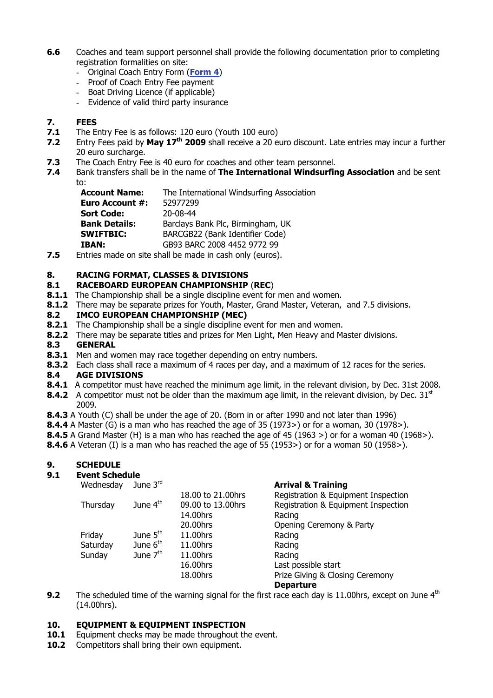- **6.6** Coaches and team support personnel shall provide the following documentation prior to completing registration formalities on site:
	- Original Coach Entry Form (**[Form 4](http://www.internationalwindsurfing.com/userfiles/documents/RB_IMCO_Europeans_Latvia_09_Form_4.pdf)**)
	- Proof of Coach Entry Fee payment
	- Boat Driving Licence (if applicable)
	- Evidence of valid third party insurance

#### **7. FEES**

- **7.1** The Entry Fee is as follows: 120 euro (Youth 100 euro)
- **7.2** Entry Fees paid by May 17<sup>th</sup> 2009 shall receive a 20 euro discount. Late entries may incur a further 20 euro surcharge.
- **7.3** The Coach Entry Fee is 40 euro for coaches and other team personnel.
- **7.4** Bank transfers shall be in the name of **The International Windsurfing Association** and be sent to:

| Account Name:        | The International Windsurfing Association |
|----------------------|-------------------------------------------|
| Euro Account #:      | 52977299                                  |
| Sort Code:           | $20 - 08 - 44$                            |
| <b>Bank Details:</b> | Barclays Bank Plc, Birmingham, UK         |
| <b>SWIFTBIC:</b>     | BARCGB22 (Bank Identifier Code)           |
| IBAN:                | GB93 BARC 2008 4452 9772 99               |
|                      |                                           |

**7.5** Entries made on site shall be made in cash only (euros).

#### **8. RACING FORMAT, CLASSES & DIVISIONS**

#### **8.1 RACEBOARD EUROPEAN CHAMPIONSHIP** (**REC**)

- **8.1.1** The Championship shall be a single discipline event for men and women.
- **8.1.2** There may be separate prizes for Youth, Master, Grand Master, Veteran, and 7.5 divisions.

#### **8.2 IMCO EUROPEAN CHAMPIONSHIP (MEC)**

- **8.2.1** The Championship shall be a single discipline event for men and women.
- **8.2.2** There may be separate titles and prizes for Men Light, Men Heavy and Master divisions.

#### **8.3 GENERAL**

- **8.3.1** Men and women may race together depending on entry numbers.
- **8.3.2** Each class shall race a maximum of 4 races per day, and a maximum of 12 races for the series.

#### **8.4 AGE DIVISIONS**

- 8.4.1 A competitor must have reached the minimum age limit, in the relevant division, by Dec. 31st 2008.
- **8.4.2** A competitor must not be older than the maximum age limit, in the relevant division, by Dec. 31<sup>st</sup> 2009.
- **8.4.3** A Youth (C) shall be under the age of 20. (Born in or after 1990 and not later than 1996)
- **8.4.4** A Master (G) is a man who has reached the age of 35 (1973>) or for a woman, 30 (1978>).
- **8.4.5** A Grand Master (H) is a man who has reached the age of 45 (1963 >) or for a woman 40 (1968>).
- **8.4.6** A Veteran (I) is a man who has reached the age of 55 (1953>) or for a woman 50 (1958>).

#### **9. SCHEDULE**

#### **9.1 Event Schedule**

|  |  | Wednesday | June |
|--|--|-----------|------|
|--|--|-----------|------|

| Wednesday | June $3rd$           |                   | <b>Arrival &amp; Training</b>       |
|-----------|----------------------|-------------------|-------------------------------------|
|           |                      | 18.00 to 21.00hrs | Registration & Equipment Inspection |
| Thursday  | June 4 <sup>th</sup> | 09.00 to 13.00hrs | Registration & Equipment Inspection |
|           |                      | 14.00hrs          | Racing                              |
|           |                      | 20.00hrs          | Opening Ceremony & Party            |
| Friday    | June $5th$           | 11.00hrs          | Racing                              |
| Saturday  | June 6 <sup>th</sup> | 11.00hrs          | Racing                              |
| Sunday    | June $7th$           | 11.00hrs          | Racing                              |
|           |                      | 16.00hrs          | Last possible start                 |
|           |                      | 18.00hrs          | Prize Giving & Closing Ceremony     |
|           |                      |                   | <b>Departure</b>                    |

**9.2** The scheduled time of the warning signal for the first race each day is 11.00hrs, except on June 4<sup>th</sup> (14.00hrs).

#### **10. EQUIPMENT & EQUIPMENT INSPECTION**

- **10.1** Equipment checks may be made throughout the event.
- 10.2 Competitors shall bring their own equipment.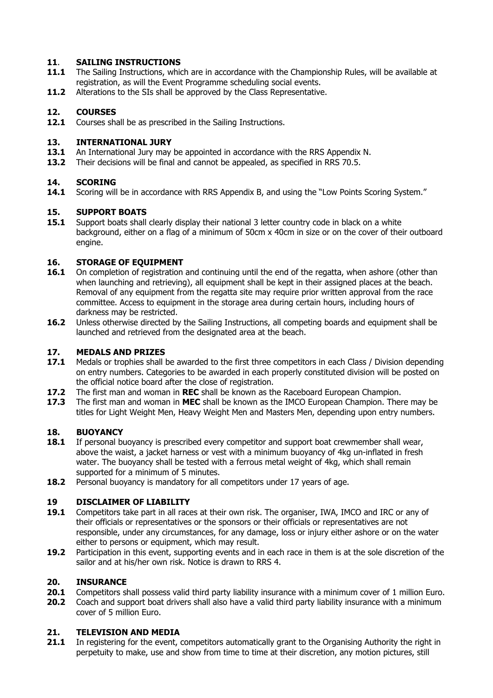## **11**. **SAILING INSTRUCTIONS**

- **11.1** The Sailing Instructions, which are in accordance with the Championship Rules, will be available at registration, as will the Event Programme scheduling social events.
- **11.2** Alterations to the SIs shall be approved by the Class Representative.

## **12. COURSES**

12.1 Courses shall be as prescribed in the Sailing Instructions.

#### **13. INTERNATIONAL JURY**

- **13.1** An International Jury may be appointed in accordance with the RRS Appendix N.
- **13.2** Their decisions will be final and cannot be appealed, as specified in RRS 70.5.

## **14. SCORING**

14.1 Scoring will be in accordance with RRS Appendix B, and using the "Low Points Scoring System."

## **15. SUPPORT BOATS**

15.1 Support boats shall clearly display their national 3 letter country code in black on a white background, either on a flag of a minimum of 50cm x 40cm in size or on the cover of their outboard engine.

## **16. STORAGE OF EQUIPMENT**

- **16.1** On completion of registration and continuing until the end of the regatta, when ashore (other than when launching and retrieving), all equipment shall be kept in their assigned places at the beach. Removal of any equipment from the regatta site may require prior written approval from the race committee. Access to equipment in the storage area during certain hours, including hours of darkness may be restricted.
- **16.2** Unless otherwise directed by the Sailing Instructions, all competing boards and equipment shall be launched and retrieved from the designated area at the beach.

## **17. MEDALS AND PRIZES**

- **17.1** Medals or trophies shall be awarded to the first three competitors in each Class / Division depending on entry numbers. Categories to be awarded in each properly constituted division will be posted on the official notice board after the close of registration.
- **17.2** The first man and woman in **REC** shall be known as the Raceboard European Champion.
- **17.3** The first man and woman in **MEC** shall be known as the IMCO European Champion. There may be titles for Light Weight Men, Heavy Weight Men and Masters Men, depending upon entry numbers.

## **18. BUOYANCY**

- **18.1** If personal buoyancy is prescribed every competitor and support boat crewmember shall wear, above the waist, a jacket harness or vest with a minimum buoyancy of 4kg un-inflated in fresh water. The buoyancy shall be tested with a ferrous metal weight of 4kg, which shall remain supported for a minimum of 5 minutes.
- **18.2** Personal buoyancy is mandatory for all competitors under 17 years of age.

## **19 DISCLAIMER OF LIABILITY**

- 19.1 Competitors take part in all races at their own risk. The organiser, IWA, IMCO and IRC or any of their officials or representatives or the sponsors or their officials or representatives are not responsible, under any circumstances, for any damage, loss or injury either ashore or on the water either to persons or equipment, which may result.
- **19.2** Participation in this event, supporting events and in each race in them is at the sole discretion of the sailor and at his/her own risk. Notice is drawn to RRS 4.

## **20. INSURANCE**

- **20.1** Competitors shall possess valid third party liability insurance with a minimum cover of 1 million Euro.
- **20.2** Coach and support boat drivers shall also have a valid third party liability insurance with a minimum cover of 5 million Euro.

## **21. TELEVISION AND MEDIA**

21.1 In registering for the event, competitors automatically grant to the Organising Authority the right in perpetuity to make, use and show from time to time at their discretion, any motion pictures, still